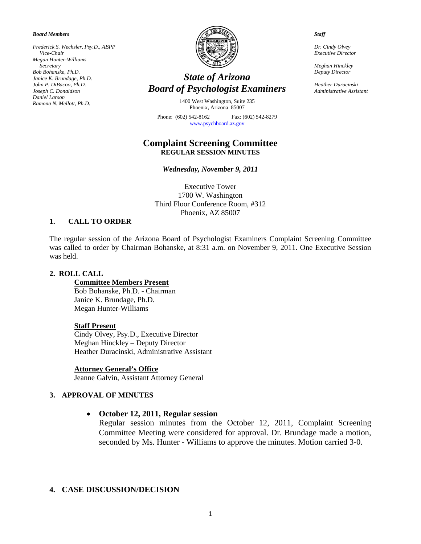*Board Members* 

*Frederick S. Wechsler, Psy.D., ABPP Vice-Chair Megan Hunter-Williams Secretary Bob Bohanske, Ph.D. Janice K. Brundage, Ph.D. John P. DiBacoo, Ph.D. Joseph C. Donaldson Daniel Larson Ramona N. Mellott, Ph.D.* 



# *State of Arizona Board of Psychologist Examiners*

1400 West Washington, Suite 235 Phoenix, Arizona 85007

Phone: (602) 542-8162 Fax: (602) 542-8279 [www.psychboard.az.gov](http://www.psychboard.az.gov/) 

## **Complaint Screening Committee REGULAR SESSION MINUTES**

*Wednesday, November 9, 2011* 

Executive Tower 1700 W. Washington Third Floor Conference Room, #312 Phoenix, AZ 85007

#### **1. CALL TO ORDER**

The regular session of the Arizona Board of Psychologist Examiners Complaint Screening Committee was called to order by Chairman Bohanske, at 8:31 a.m. on November 9, 2011. One Executive Session was held.

#### **2. ROLL CALL**

**Committee Members Present**  Bob Bohanske, Ph.D. - Chairman Janice K. Brundage, Ph.D. Megan Hunter-Williams

#### **Staff Present**

Cindy Olvey, Psy.D., Executive Director Meghan Hinckley – Deputy Director Heather Duracinski, Administrative Assistant

#### **Attorney General's Office**

Jeanne Galvin, Assistant Attorney General

## **3. APPROVAL OF MINUTES**

## **October 12, 2011, Regular session**

Regular session minutes from the October 12, 2011, Complaint Screening Committee Meeting were considered for approval. Dr. Brundage made a motion, seconded by Ms. Hunter - Williams to approve the minutes. Motion carried 3-0.

## **4. CASE DISCUSSION/DECISION**

*Dr. Cindy Olvey Executive Director* 

*Staff* 

*Meghan Hinckley Deputy Director* 

*Heather Duracinski Administrative Assistant*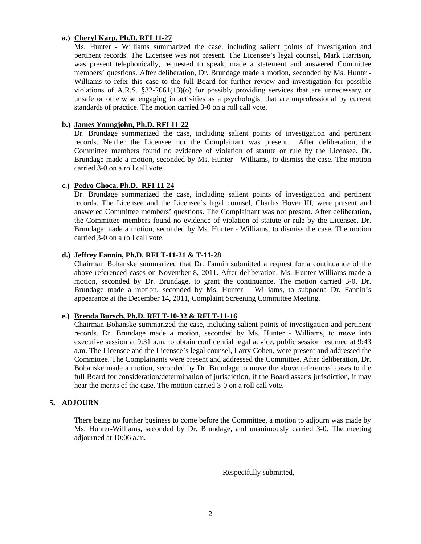# **a.) Cheryl Karp, Ph.D. RFI 11-27**

Ms. Hunter - Williams summarized the case, including salient points of investigation and pertinent records. The Licensee was not present. The Licensee's legal counsel, Mark Harrison, was present telephonically, requested to speak, made a statement and answered Committee members' questions. After deliberation, Dr. Brundage made a motion, seconded by Ms. Hunter-Williams to refer this case to the full Board for further review and investigation for possible violations of A.R.S. §32-2061(13)(o) for possibly providing services that are unnecessary or unsafe or otherwise engaging in activities as a psychologist that are unprofessional by current standards of practice. The motion carried 3-0 on a roll call vote.

## **b.) James Youngjohn, Ph.D. RFI 11-22**

Dr. Brundage summarized the case, including salient points of investigation and pertinent records. Neither the Licensee nor the Complainant was present. After deliberation, the Committee members found no evidence of violation of statute or rule by the Licensee. Dr. Brundage made a motion, seconded by Ms. Hunter - Williams, to dismiss the case. The motion carried 3-0 on a roll call vote.

# **c.) Pedro Choca, Ph.D. RFI 11-24**

Dr. Brundage summarized the case, including salient points of investigation and pertinent records. The Licensee and the Licensee's legal counsel, Charles Hover III, were present and answered Committee members' questions. The Complainant was not present. After deliberation, the Committee members found no evidence of violation of statute or rule by the Licensee. Dr. Brundage made a motion, seconded by Ms. Hunter - Williams, to dismiss the case. The motion carried 3-0 on a roll call vote.

# **d.) Jeffrey Fannin, Ph.D. RFI T-11-21 & T-11-28**

Chairman Bohanske summarized that Dr. Fannin submitted a request for a continuance of the above referenced cases on November 8, 2011. After deliberation, Ms. Hunter-Williams made a motion, seconded by Dr. Brundage, to grant the continuance. The motion carried 3-0. Dr. Brundage made a motion, seconded by Ms. Hunter – Williams, to subpoena Dr. Fannin's appearance at the December 14, 2011, Complaint Screening Committee Meeting.

## **e.) Brenda Bursch, Ph.D. RFI T-10-32 & RFI T-11-16**

Chairman Bohanske summarized the case, including salient points of investigation and pertinent records. Dr. Brundage made a motion, seconded by Ms. Hunter - Williams, to move into executive session at 9:31 a.m. to obtain confidential legal advice, public session resumed at 9:43 a.m. The Licensee and the Licensee's legal counsel, Larry Cohen, were present and addressed the Committee. The Complainants were present and addressed the Committee. After deliberation, Dr. Bohanske made a motion, seconded by Dr. Brundage to move the above referenced cases to the full Board for consideration/determination of jurisdiction, if the Board asserts jurisdiction, it may hear the merits of the case. The motion carried 3-0 on a roll call vote.

## **5. ADJOURN**

There being no further business to come before the Committee, a motion to adjourn was made by Ms. Hunter-Williams, seconded by Dr. Brundage, and unanimously carried 3-0. The meeting adjourned at 10:06 a.m.

Respectfully submitted,